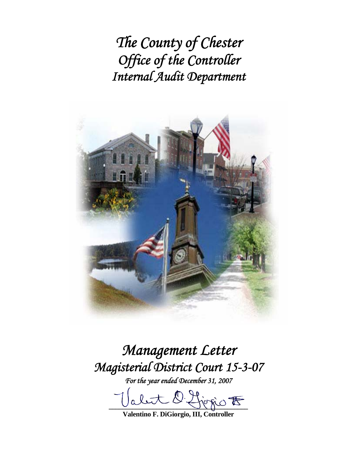*The County of Chester Office of the Controller Internal Audit Department* 



# *Management Letter Magisterial District Court 15-3-07*

*For the year ended December 31, 2007* 

abut D. first of

**Valentino F. DiGiorgio, III, Controller**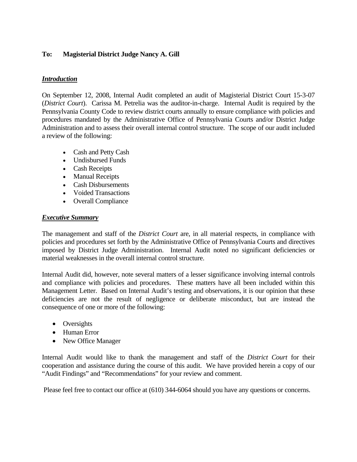# **To: Magisterial District Judge Nancy A. Gill**

## *Introduction*

On September 12, 2008, Internal Audit completed an audit of Magisterial District Court 15-3-07 (*District Court*). Carissa M. Petrelia was the auditor-in-charge. Internal Audit is required by the Pennsylvania County Code to review district courts annually to ensure compliance with policies and procedures mandated by the Administrative Office of Pennsylvania Courts and/or District Judge Administration and to assess their overall internal control structure. The scope of our audit included a review of the following:

- Cash and Petty Cash
- Undisbursed Funds
- Cash Receipts
- Manual Receipts
- Cash Disbursements
- Voided Transactions
- Overall Compliance

## *Executive Summary*

The management and staff of the *District Court* are, in all material respects, in compliance with policies and procedures set forth by the Administrative Office of Pennsylvania Courts and directives imposed by District Judge Administration. Internal Audit noted no significant deficiencies or material weaknesses in the overall internal control structure.

Internal Audit did, however, note several matters of a lesser significance involving internal controls and compliance with policies and procedures. These matters have all been included within this Management Letter. Based on Internal Audit's testing and observations, it is our opinion that these deficiencies are not the result of negligence or deliberate misconduct, but are instead the consequence of one or more of the following:

- Oversights
- Human Error
- New Office Manager

Internal Audit would like to thank the management and staff of the *District Court* for their cooperation and assistance during the course of this audit. We have provided herein a copy of our "Audit Findings" and "Recommendations" for your review and comment.

Please feel free to contact our office at (610) 344-6064 should you have any questions or concerns.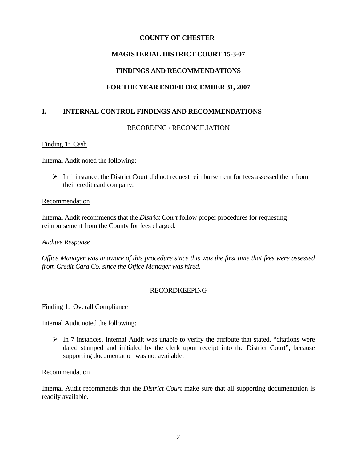# **MAGISTERIAL DISTRICT COURT 15-3-07**

# **FINDINGS AND RECOMMENDATIONS**

# **FOR THE YEAR ENDED DECEMBER 31, 2007**

# **I. INTERNAL CONTROL FINDINGS AND RECOMMENDATIONS**

## RECORDING / RECONCILIATION

## Finding 1: Cash

Internal Audit noted the following:

 $\triangleright$  In 1 instance, the District Court did not request reimbursement for fees assessed them from their credit card company.

## Recommendation

Internal Audit recommends that the *District Court* follow proper procedures for requesting reimbursement from the County for fees charged.

## *Auditee Response*

*Office Manager was unaware of this procedure since this was the first time that fees were assessed from Credit Card Co. since the Office Manager was hired.* 

## RECORDKEEPING

Finding 1: Overall Compliance

Internal Audit noted the following:

 $\triangleright$  In 7 instances, Internal Audit was unable to verify the attribute that stated, "citations were dated stamped and initialed by the clerk upon receipt into the District Court", because supporting documentation was not available.

## Recommendation

Internal Audit recommends that the *District Court* make sure that all supporting documentation is readily available.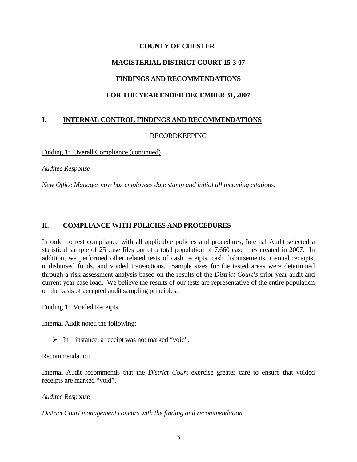## **MAGISTERIAL DISTRICT COURT 15-3-07**

# **FINDINGS AND RECOMMENDATIONS**

# **FOR THE YEAR ENDED DECEMBER 31, 2007**

## **I. INTERNAL CONTROL FINDINGS AND RECOMMENDATIONS**

## RECORDKEEPING

Finding 1: Overall Compliance (continued)

## *Auditee Response*

*New Office Manager now has employees date stamp and initial all incoming citations.* 

## **II. COMPLIANCE WITH POLICIES AND PROCEDURES**

In order to test compliance with all applicable policies and procedures, Internal Audit selected a statistical sample of 25 case files out of a total population of 7,660 case files created in 2007. In addition, we performed other related tests of cash receipts, cash disbursements, manual receipts, undisbursed funds, and voided transactions. Sample sizes for the tested areas were determined through a risk assessment analysis based on the results of the *District Court's* prior year audit and current year case load. We believe the results of our tests are representative of the entire population on the basis of accepted audit sampling principles.

## Finding 1: Voided Receipts

Internal Audit noted the following:

 $\triangleright$  In 1 instance, a receipt was not marked "void".

## Recommendation

Internal Audit recommends that the *District Court* exercise greater care to ensure that voided receipts are marked "void".

## *Auditee Response*

*District Court management concurs with the finding and recommendation*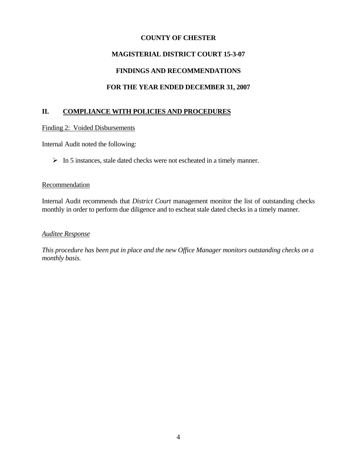# **MAGISTERIAL DISTRICT COURT 15-3-07**

# **FINDINGS AND RECOMMENDATIONS**

# **FOR THE YEAR ENDED DECEMBER 31, 2007**

# **II. COMPLIANCE WITH POLICIES AND PROCEDURES**

## Finding 2: Voided Disbursements

Internal Audit noted the following:

¾ In 5 instances, stale dated checks were not escheated in a timely manner.

# **Recommendation**

Internal Audit recommends that *District Court* management monitor the list of outstanding checks monthly in order to perform due diligence and to escheat stale dated checks in a timely manner.

## *Auditee Response*

*This procedure has been put in place and the new Office Manager monitors outstanding checks on a monthly basis.*